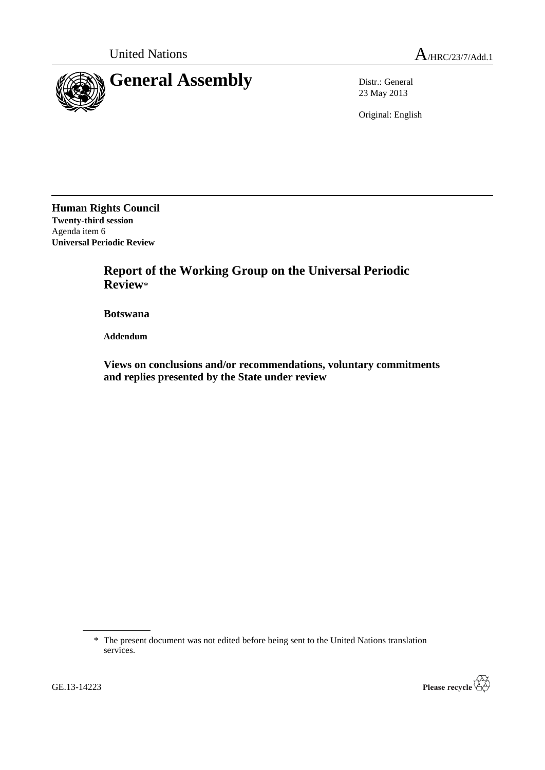

23 May 2013

Original: English

**Human Rights Council Twenty-third session** Agenda item 6 **Universal Periodic Review**

> **Report of the Working Group on the Universal Periodic Review**\*

**Botswana**

**Addendum**

**Views on conclusions and/or recommendations, voluntary commitments and replies presented by the State under review**



<sup>\*</sup> The present document was not edited before being sent to the United Nations translation services.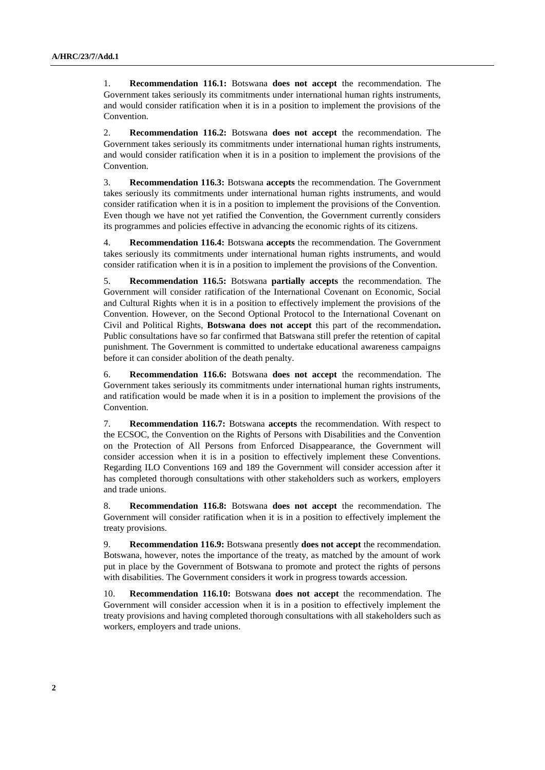1. **Recommendation 116.1:** Botswana **does not accept** the recommendation. The Government takes seriously its commitments under international human rights instruments, and would consider ratification when it is in a position to implement the provisions of the Convention.

2. **Recommendation 116.2:** Botswana **does not accept** the recommendation. The Government takes seriously its commitments under international human rights instruments, and would consider ratification when it is in a position to implement the provisions of the Convention.

3. **Recommendation 116.3:** Botswana **accepts** the recommendation. The Government takes seriously its commitments under international human rights instruments, and would consider ratification when it is in a position to implement the provisions of the Convention. Even though we have not yet ratified the Convention, the Government currently considers its programmes and policies effective in advancing the economic rights of its citizens.

4. **Recommendation 116.4:** Botswana **accepts** the recommendation. The Government takes seriously its commitments under international human rights instruments, and would consider ratification when it is in a position to implement the provisions of the Convention.

5. **Recommendation 116.5:** Botswana **partially accepts** the recommendation. The Government will consider ratification of the International Covenant on Economic, Social and Cultural Rights when it is in a position to effectively implement the provisions of the Convention. However, on the Second Optional Protocol to the International Covenant on Civil and Political Rights, **Botswana does not accept** this part of the recommendation**.**  Public consultations have so far confirmed that Batswana still prefer the retention of capital punishment. The Government is committed to undertake educational awareness campaigns before it can consider abolition of the death penalty.

6. **Recommendation 116.6:** Botswana **does not accept** the recommendation. The Government takes seriously its commitments under international human rights instruments, and ratification would be made when it is in a position to implement the provisions of the Convention.

7. **Recommendation 116.7:** Botswana **accepts** the recommendation. With respect to the ECSOC, the Convention on the Rights of Persons with Disabilities and the Convention on the Protection of All Persons from Enforced Disappearance, the Government will consider accession when it is in a position to effectively implement these Conventions. Regarding ILO Conventions 169 and 189 the Government will consider accession after it has completed thorough consultations with other stakeholders such as workers, employers and trade unions.

8. **Recommendation 116.8:** Botswana **does not accept** the recommendation. The Government will consider ratification when it is in a position to effectively implement the treaty provisions.

9. **Recommendation 116.9:** Botswana presently **does not accept** the recommendation. Botswana, however, notes the importance of the treaty, as matched by the amount of work put in place by the Government of Botswana to promote and protect the rights of persons with disabilities. The Government considers it work in progress towards accession.

10. **Recommendation 116.10:** Botswana **does not accept** the recommendation. The Government will consider accession when it is in a position to effectively implement the treaty provisions and having completed thorough consultations with all stakeholders such as workers, employers and trade unions.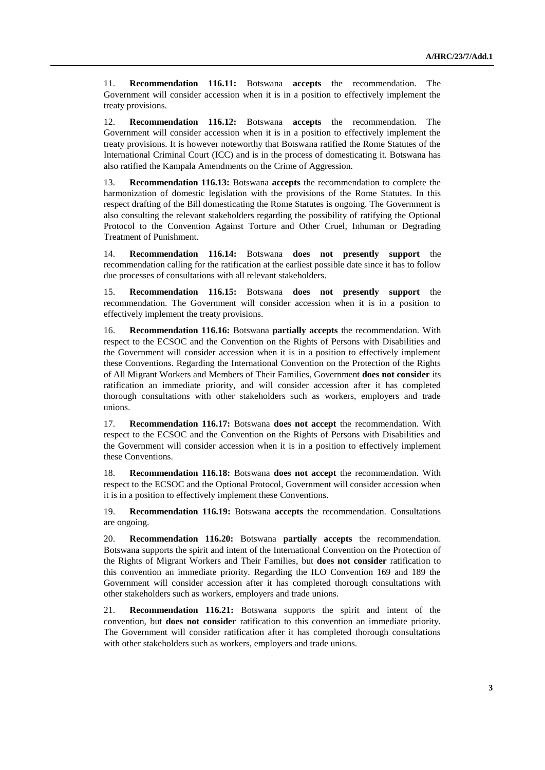11. **Recommendation 116.11:** Botswana **accepts** the recommendation. The Government will consider accession when it is in a position to effectively implement the treaty provisions.

12. **Recommendation 116.12:** Botswana **accepts** the recommendation. The Government will consider accession when it is in a position to effectively implement the treaty provisions. It is however noteworthy that Botswana ratified the Rome Statutes of the International Criminal Court (ICC) and is in the process of domesticating it. Botswana has also ratified the Kampala Amendments on the Crime of Aggression.

13. **Recommendation 116.13:** Botswana **accepts** the recommendation to complete the harmonization of domestic legislation with the provisions of the Rome Statutes. In this respect drafting of the Bill domesticating the Rome Statutes is ongoing. The Government is also consulting the relevant stakeholders regarding the possibility of ratifying the Optional Protocol to the Convention Against Torture and Other Cruel, Inhuman or Degrading Treatment of Punishment.

14. **Recommendation 116.14:** Botswana **does not presently support** the recommendation calling for the ratification at the earliest possible date since it has to follow due processes of consultations with all relevant stakeholders.

15. **Recommendation 116.15:** Botswana **does not presently support** the recommendation. The Government will consider accession when it is in a position to effectively implement the treaty provisions.

16. **Recommendation 116.16:** Botswana **partially accepts** the recommendation. With respect to the ECSOC and the Convention on the Rights of Persons with Disabilities and the Government will consider accession when it is in a position to effectively implement these Conventions. Regarding the International Convention on the Protection of the Rights of All Migrant Workers and Members of Their Families, Government **does not consider** its ratification an immediate priority, and will consider accession after it has completed thorough consultations with other stakeholders such as workers, employers and trade unions.

17. **Recommendation 116.17:** Botswana **does not accept** the recommendation. With respect to the ECSOC and the Convention on the Rights of Persons with Disabilities and the Government will consider accession when it is in a position to effectively implement these Conventions.

18. **Recommendation 116.18:** Botswana **does not accept** the recommendation. With respect to the ECSOC and the Optional Protocol, Government will consider accession when it is in a position to effectively implement these Conventions.

19. **Recommendation 116.19:** Botswana **accepts** the recommendation. Consultations are ongoing.

20. **Recommendation 116.20:** Botswana **partially accepts** the recommendation. Botswana supports the spirit and intent of the International Convention on the Protection of the Rights of Migrant Workers and Their Families, but **does not consider** ratification to this convention an immediate priority. Regarding the ILO Convention 169 and 189 the Government will consider accession after it has completed thorough consultations with other stakeholders such as workers, employers and trade unions.

21. **Recommendation 116.21:** Botswana supports the spirit and intent of the convention, but **does not consider** ratification to this convention an immediate priority. The Government will consider ratification after it has completed thorough consultations with other stakeholders such as workers, employers and trade unions.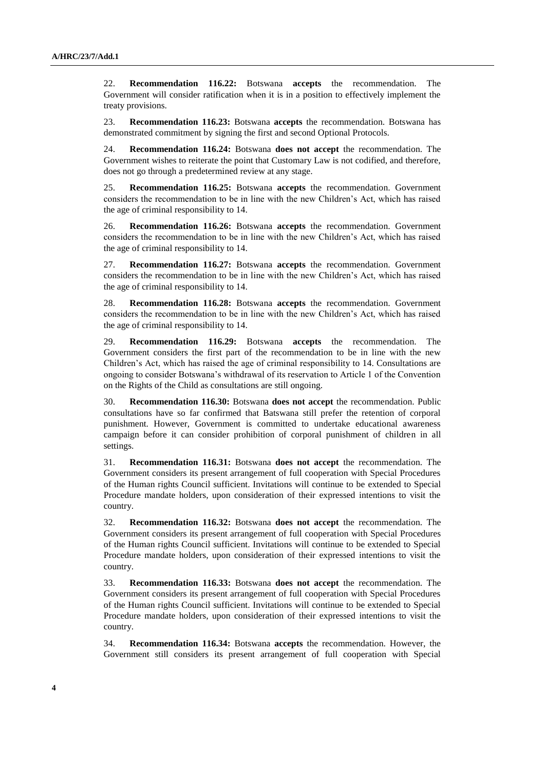22. **Recommendation 116.22:** Botswana **accepts** the recommendation. The Government will consider ratification when it is in a position to effectively implement the treaty provisions.

23. **Recommendation 116.23:** Botswana **accepts** the recommendation. Botswana has demonstrated commitment by signing the first and second Optional Protocols.

24. **Recommendation 116.24:** Botswana **does not accept** the recommendation. The Government wishes to reiterate the point that Customary Law is not codified, and therefore, does not go through a predetermined review at any stage.

25. **Recommendation 116.25:** Botswana **accepts** the recommendation. Government considers the recommendation to be in line with the new Children's Act, which has raised the age of criminal responsibility to 14.

26. **Recommendation 116.26:** Botswana **accepts** the recommendation. Government considers the recommendation to be in line with the new Children's Act, which has raised the age of criminal responsibility to 14.

27. **Recommendation 116.27:** Botswana **accepts** the recommendation. Government considers the recommendation to be in line with the new Children's Act, which has raised the age of criminal responsibility to 14.

28. **Recommendation 116.28:** Botswana **accepts** the recommendation. Government considers the recommendation to be in line with the new Children's Act, which has raised the age of criminal responsibility to 14.

29. **Recommendation 116.29:** Botswana **accepts** the recommendation. The Government considers the first part of the recommendation to be in line with the new Children's Act, which has raised the age of criminal responsibility to 14. Consultations are ongoing to consider Botswana's withdrawal of its reservation to Article 1 of the Convention on the Rights of the Child as consultations are still ongoing.

30. **Recommendation 116.30:** Botswana **does not accept** the recommendation. Public consultations have so far confirmed that Batswana still prefer the retention of corporal punishment. However, Government is committed to undertake educational awareness campaign before it can consider prohibition of corporal punishment of children in all settings.

31. **Recommendation 116.31:** Botswana **does not accept** the recommendation. The Government considers its present arrangement of full cooperation with Special Procedures of the Human rights Council sufficient. Invitations will continue to be extended to Special Procedure mandate holders, upon consideration of their expressed intentions to visit the country.

32. **Recommendation 116.32:** Botswana **does not accept** the recommendation. The Government considers its present arrangement of full cooperation with Special Procedures of the Human rights Council sufficient. Invitations will continue to be extended to Special Procedure mandate holders, upon consideration of their expressed intentions to visit the country.

33. **Recommendation 116.33:** Botswana **does not accept** the recommendation. The Government considers its present arrangement of full cooperation with Special Procedures of the Human rights Council sufficient. Invitations will continue to be extended to Special Procedure mandate holders, upon consideration of their expressed intentions to visit the country.

34. **Recommendation 116.34:** Botswana **accepts** the recommendation. However, the Government still considers its present arrangement of full cooperation with Special